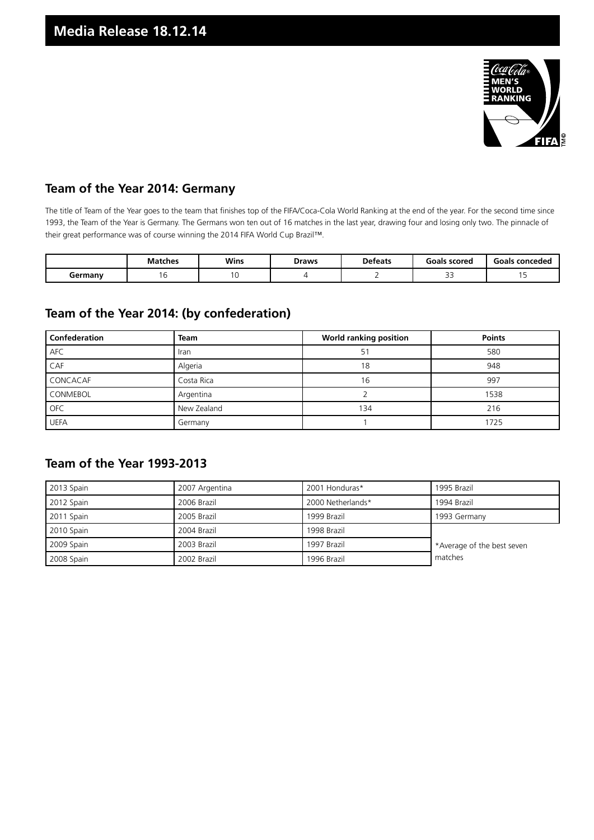

#### **Team of the Year 2014: Germany**

The title of Team of the Year goes to the team that finishes top of the FIFA/Coca-Cola World Ranking at the end of the year. For the second time since 1993, the Team of the Year is Germany. The Germans won ten out of 16 matches in the last year, drawing four and losing only two. The pinnacle of their great performance was of course winning the 2014 FIFA World Cup Brazil™.

|         | <b>Matches</b> | Wins | Draws | <b>Defeats</b> | Goals scored              | Goals conceded |
|---------|----------------|------|-------|----------------|---------------------------|----------------|
| dermany |                |      |       |                | $\sim$ $\sim$<br><u>-</u> |                |

### **Team of the Year 2014: (by confederation)**

| <b>Confederation</b> | <b>Team</b> | <b>World ranking position</b> | <b>Points</b> |  |
|----------------------|-------------|-------------------------------|---------------|--|
| <b>AFC</b>           | Iran        | 51                            | 580           |  |
| CAF                  | Algeria     | 18                            | 948           |  |
| CONCACAF             | Costa Rica  | 16                            | 997           |  |
| <b>CONMEBOL</b>      | Argentina   |                               | 1538          |  |
| <b>OFC</b>           | New Zealand | 134                           | 216           |  |
| <b>UEFA</b>          | Germany     |                               | 1725          |  |

#### **Team of the Year 1993-2013**

| 2013 Spain | 2007 Argentina | 2001 Honduras*    | 1995 Brazil                |
|------------|----------------|-------------------|----------------------------|
| 2012 Spain | 2006 Brazil    | 2000 Netherlands* | 1994 Brazil                |
| 2011 Spain | 2005 Brazil    | 1999 Brazil       | 1993 Germany               |
| 2010 Spain | 2004 Brazil    | 1998 Brazil       |                            |
| 2009 Spain | 2003 Brazil    | 1997 Brazil       | *Average of the best seven |
| 2008 Spain | 2002 Brazil    | 1996 Brazil       | matches                    |